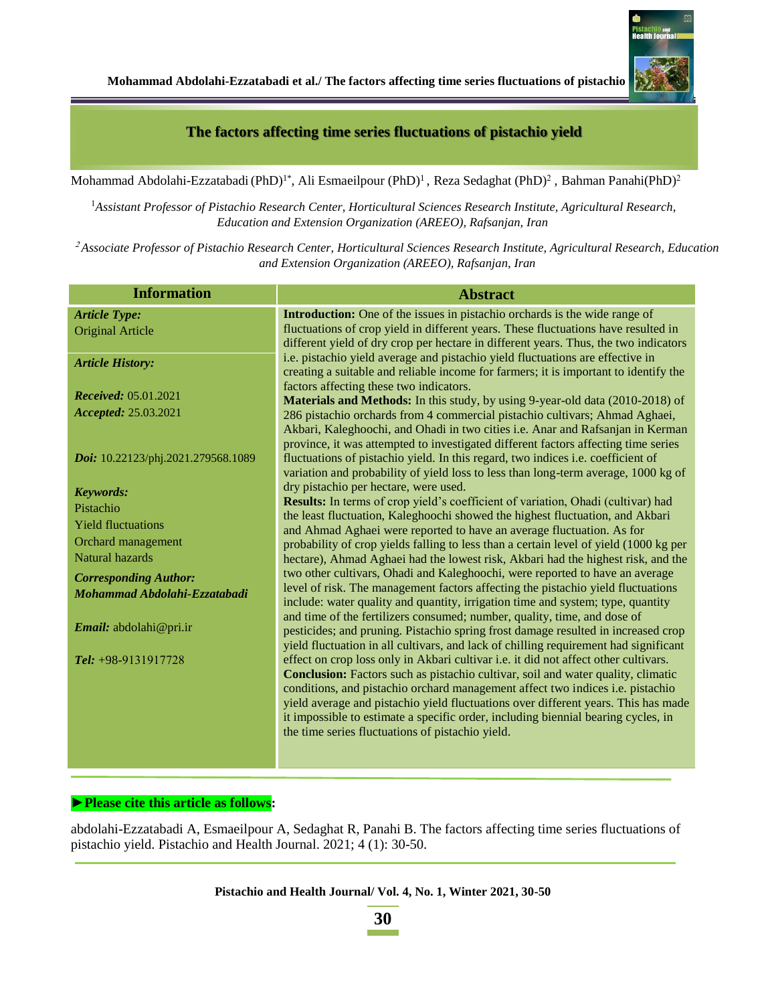#### **The factors affecting time series fluctuations of pistachio yield**

Mohammad Abdolahi-Ezzatabadi (PhD)<sup>1\*</sup>, Ali Esmaeilpour (PhD)<sup>1</sup>, Reza Sedaghat (PhD)<sup>2</sup>, Bahman Panahi(PhD)<sup>2</sup>

<sup>1</sup>*Assistant Professor of Pistachio Research Center, Horticultural Sciences Research Institute, Agricultural Research, Education and Extension Organization (AREEO), Rafsanjan, Iran*

<sup>2</sup> *Associate Professor of Pistachio Research Center, Horticultural Sciences Research Institute, Agricultural Research, Education and Extension Organization (AREEO), Rafsanjan, Iran*

| <b>Information</b>                 | <b>Abstract</b>                                                                                                                                                                                                                                                                                               |
|------------------------------------|---------------------------------------------------------------------------------------------------------------------------------------------------------------------------------------------------------------------------------------------------------------------------------------------------------------|
| <b>Article Type:</b>               | <b>Introduction:</b> One of the issues in pistachio orchards is the wide range of                                                                                                                                                                                                                             |
| <b>Original Article</b>            | fluctuations of crop yield in different years. These fluctuations have resulted in                                                                                                                                                                                                                            |
| <b>Article History:</b>            | different yield of dry crop per hectare in different years. Thus, the two indicators<br>i.e. pistachio yield average and pistachio yield fluctuations are effective in<br>creating a suitable and reliable income for farmers; it is important to identify the                                                |
| <b>Received:</b> 05.01.2021        | factors affecting these two indicators.                                                                                                                                                                                                                                                                       |
| Accepted: 25.03.2021               | Materials and Methods: In this study, by using 9-year-old data (2010-2018) of<br>286 pistachio orchards from 4 commercial pistachio cultivars; Ahmad Aghaei,                                                                                                                                                  |
|                                    | Akbari, Kaleghoochi, and Ohadi in two cities i.e. Anar and Rafsanjan in Kerman                                                                                                                                                                                                                                |
| Doi: 10.22123/phj.2021.279568.1089 | province, it was attempted to investigated different factors affecting time series<br>fluctuations of pistachio yield. In this regard, two indices i.e. coefficient of<br>variation and probability of yield loss to less than long-term average, 1000 kg of                                                  |
| <b>Keywords:</b>                   | dry pistachio per hectare, were used.                                                                                                                                                                                                                                                                         |
| Pistachio                          | Results: In terms of crop yield's coefficient of variation, Ohadi (cultivar) had                                                                                                                                                                                                                              |
| <b>Yield fluctuations</b>          | the least fluctuation, Kaleghoochi showed the highest fluctuation, and Akbari<br>and Ahmad Aghaei were reported to have an average fluctuation. As for                                                                                                                                                        |
| Orchard management                 | probability of crop yields falling to less than a certain level of yield (1000 kg per                                                                                                                                                                                                                         |
| Natural hazards                    | hectare), Ahmad Aghaei had the lowest risk, Akbari had the highest risk, and the                                                                                                                                                                                                                              |
| <b>Corresponding Author:</b>       | two other cultivars, Ohadi and Kaleghoochi, were reported to have an average                                                                                                                                                                                                                                  |
| Mohammad Abdolahi-Ezzatabadi       | level of risk. The management factors affecting the pistachio yield fluctuations<br>include: water quality and quantity, irrigation time and system; type, quantity                                                                                                                                           |
| Email: abdolahi@pri.ir             | and time of the fertilizers consumed; number, quality, time, and dose of<br>pesticides; and pruning. Pistachio spring frost damage resulted in increased crop<br>yield fluctuation in all cultivars, and lack of chilling requirement had significant                                                         |
| Tel: $+98-9131917728$              | effect on crop loss only in Akbari cultivar i.e. it did not affect other cultivars.<br><b>Conclusion:</b> Factors such as pistachio cultivar, soil and water quality, climatic                                                                                                                                |
|                                    | conditions, and pistachio orchard management affect two indices i.e. pistachio<br>yield average and pistachio yield fluctuations over different years. This has made<br>it impossible to estimate a specific order, including biennial bearing cycles, in<br>the time series fluctuations of pistachio yield. |

#### **►Please cite this article as follows:**

abdolahi-Ezzatabadi A, Esmaeilpour A, Sedaghat R, Panahi B. The factors affecting time series fluctuations of pistachio yield. Pistachio and Health Journal. 2021; 4 (1): 30-50.

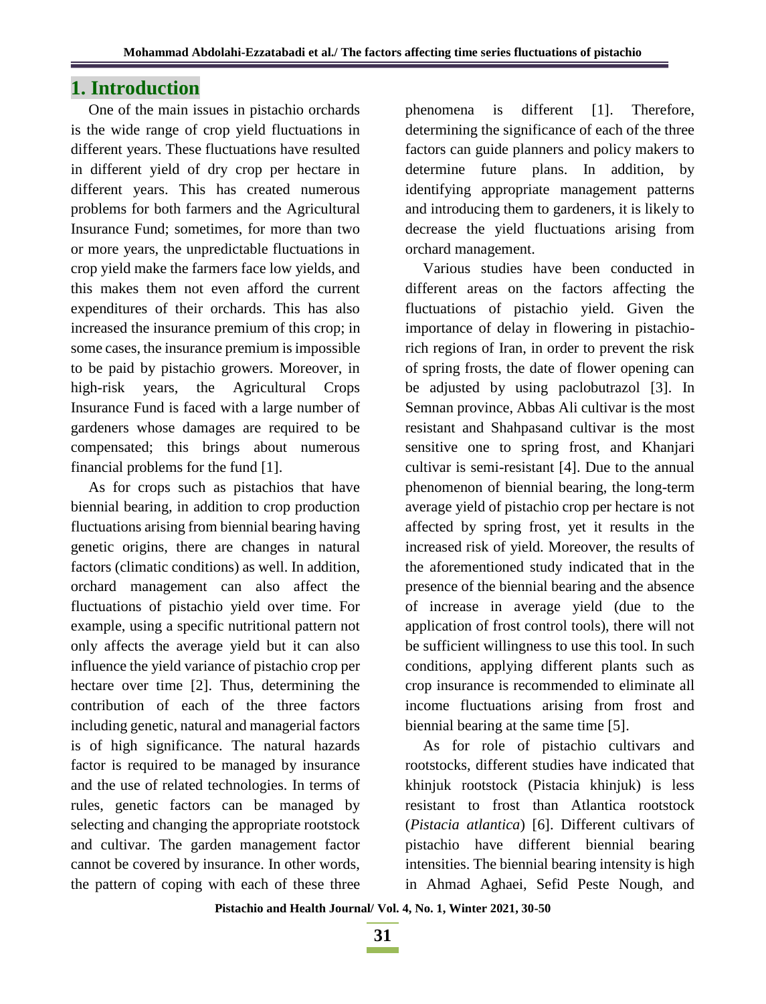### **1. Introduction**

One of the main issues in pistachio orchards is the wide range of crop yield fluctuations in different years. These fluctuations have resulted in different yield of dry crop per hectare in different years. This has created numerous problems for both farmers and the Agricultural Insurance Fund; sometimes, for more than two or more years, the unpredictable fluctuations in crop yield make the farmers face low yields, and this makes them not even afford the current expenditures of their orchards. This has also increased the insurance premium of this crop; in some cases, the insurance premium is impossible to be paid by pistachio growers. Moreover, in high-risk years, the Agricultural Crops Insurance Fund is faced with a large number of gardeners whose damages are required to be compensated; this brings about numerous financial problems for the fund [1].

As for crops such as pistachios that have biennial bearing, in addition to crop production fluctuations arising from biennial bearing having genetic origins, there are changes in natural factors (climatic conditions) as well. In addition, orchard management can also affect the fluctuations of pistachio yield over time. For example, using a specific nutritional pattern not only affects the average yield but it can also influence the yield variance of pistachio crop per hectare over time [2]. Thus, determining the contribution of each of the three factors including genetic, natural and managerial factors is of high significance. The natural hazards factor is required to be managed by insurance and the use of related technologies. In terms of rules, genetic factors can be managed by selecting and changing the appropriate rootstock and cultivar. The garden management factor cannot be covered by insurance. In other words, the pattern of coping with each of these three phenomena is different [1]. Therefore, determining the significance of each of the three factors can guide planners and policy makers to determine future plans. In addition, by identifying appropriate management patterns and introducing them to gardeners, it is likely to decrease the yield fluctuations arising from orchard management.

Various studies have been conducted in different areas on the factors affecting the fluctuations of pistachio yield. Given the importance of delay in flowering in pistachiorich regions of Iran, in order to prevent the risk of spring frosts, the date of flower opening can be adjusted by using paclobutrazol [3]. In Semnan province, Abbas Ali cultivar is the most resistant and Shahpasand cultivar is the most sensitive one to spring frost, and Khanjari cultivar is semi-resistant [4]. Due to the annual phenomenon of biennial bearing, the long-term average yield of pistachio crop per hectare is not affected by spring frost, yet it results in the increased risk of yield. Moreover, the results of the aforementioned study indicated that in the presence of the biennial bearing and the absence of increase in average yield (due to the application of frost control tools), there will not be sufficient willingness to use this tool. In such conditions, applying different plants such as crop insurance is recommended to eliminate all income fluctuations arising from frost and biennial bearing at the same time [5].

As for role of pistachio cultivars and rootstocks, different studies have indicated that khinjuk rootstock (Pistacia khinjuk) is less resistant to frost than Atlantica rootstock (*Pistacia atlantica*) [6]. Different cultivars of pistachio have different biennial bearing intensities. The biennial bearing intensity is high in Ahmad Aghaei, Sefid Peste Nough, and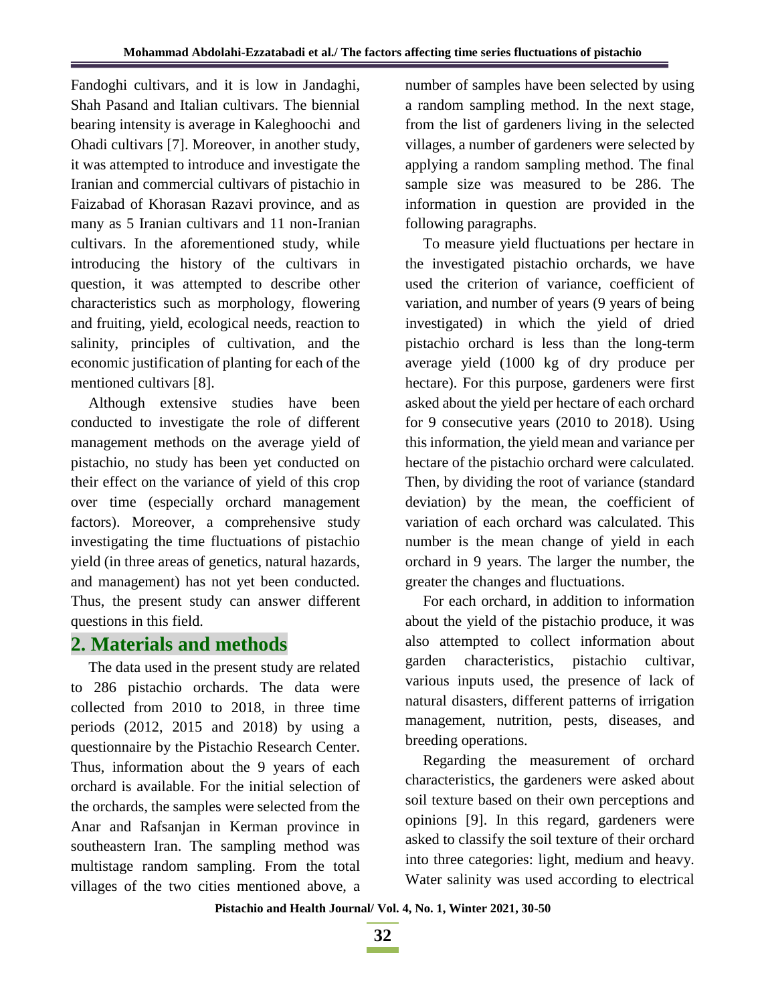Fandoghi cultivars, and it is low in Jandaghi, Shah Pasand and Italian cultivars. The biennial bearing intensity is average in Kaleghoochi and Ohadi cultivars [7]. Moreover, in another study, it was attempted to introduce and investigate the Iranian and commercial cultivars of pistachio in Faizabad of Khorasan Razavi province, and as many as 5 Iranian cultivars and 11 non-Iranian cultivars. In the aforementioned study, while introducing the history of the cultivars in question, it was attempted to describe other characteristics such as morphology, flowering and fruiting, yield, ecological needs, reaction to salinity, principles of cultivation, and the economic justification of planting for each of the mentioned cultivars [8].

Although extensive studies have been conducted to investigate the role of different management methods on the average yield of pistachio, no study has been yet conducted on their effect on the variance of yield of this crop over time (especially orchard management factors). Moreover, a comprehensive study investigating the time fluctuations of pistachio yield (in three areas of genetics, natural hazards, and management) has not yet been conducted. Thus, the present study can answer different questions in this field.

# **2. Materials and methods**

The data used in the present study are related to 286 pistachio orchards. The data were collected from 2010 to 2018, in three time periods (2012, 2015 and 2018) by using a questionnaire by the Pistachio Research Center. Thus, information about the 9 years of each orchard is available. For the initial selection of the orchards, the samples were selected from the Anar and Rafsanjan in Kerman province in southeastern Iran. The sampling method was multistage random sampling. From the total villages of the two cities mentioned above, a number of samples have been selected by using a random sampling method. In the next stage, from the list of gardeners living in the selected villages, a number of gardeners were selected by applying a random sampling method. The final sample size was measured to be 286. The information in question are provided in the following paragraphs.

To measure yield fluctuations per hectare in the investigated pistachio orchards, we have used the criterion of variance, coefficient of variation, and number of years (9 years of being investigated) in which the yield of dried pistachio orchard is less than the long-term average yield (1000 kg of dry produce per hectare). For this purpose, gardeners were first asked about the yield per hectare of each orchard for 9 consecutive years (2010 to 2018). Using this information, the yield mean and variance per hectare of the pistachio orchard were calculated. Then, by dividing the root of variance (standard deviation) by the mean, the coefficient of variation of each orchard was calculated. This number is the mean change of yield in each orchard in 9 years. The larger the number, the greater the changes and fluctuations.

For each orchard, in addition to information about the yield of the pistachio produce, it was also attempted to collect information about garden characteristics, pistachio cultivar, various inputs used, the presence of lack of natural disasters, different patterns of irrigation management, nutrition, pests, diseases, and breeding operations.

Regarding the measurement of orchard characteristics, the gardeners were asked about soil texture based on their own perceptions and opinions [9]. In this regard, gardeners were asked to classify the soil texture of their orchard into three categories: light, medium and heavy. Water salinity was used according to electrical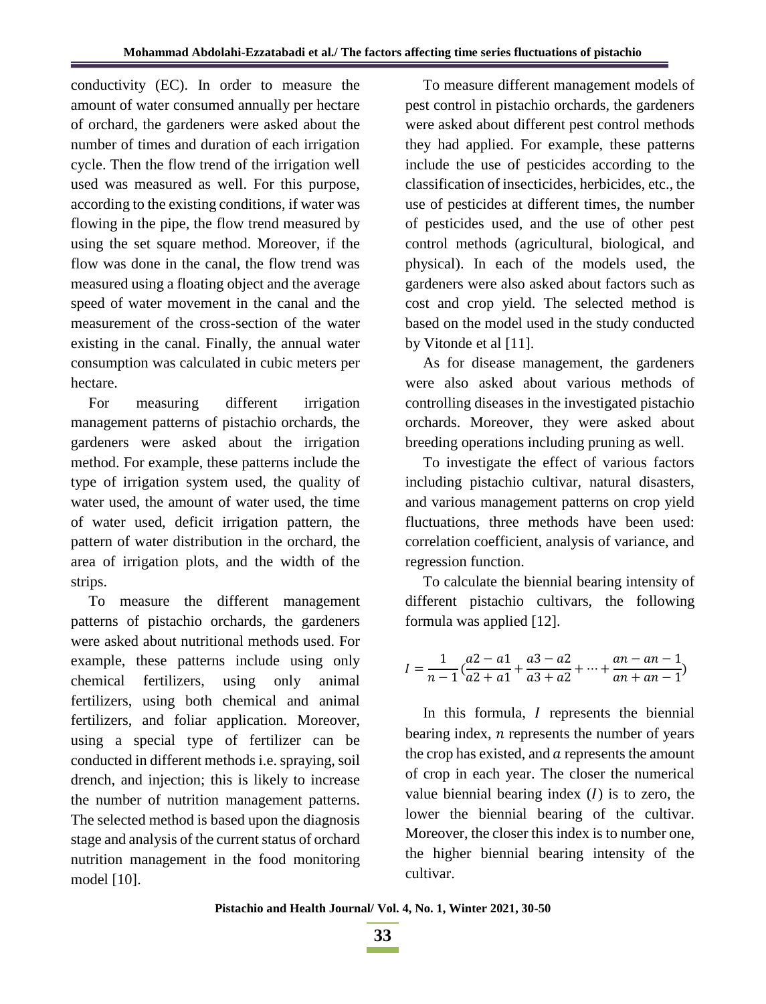conductivity (EC). In order to measure the amount of water consumed annually per hectare of orchard, the gardeners were asked about the number of times and duration of each irrigation cycle. Then the flow trend of the irrigation well used was measured as well. For this purpose, according to the existing conditions, if water was flowing in the pipe, the flow trend measured by using the set square method. Moreover, if the flow was done in the canal, the flow trend was measured using a floating object and the average speed of water movement in the canal and the measurement of the cross-section of the water existing in the canal. Finally, the annual water consumption was calculated in cubic meters per hectare.

For measuring different irrigation management patterns of pistachio orchards, the gardeners were asked about the irrigation method. For example, these patterns include the type of irrigation system used, the quality of water used, the amount of water used, the time of water used, deficit irrigation pattern, the pattern of water distribution in the orchard, the area of irrigation plots, and the width of the strips.

To measure the different management patterns of pistachio orchards, the gardeners were asked about nutritional methods used. For example, these patterns include using only chemical fertilizers, using only animal fertilizers, using both chemical and animal fertilizers, and foliar application. Moreover, using a special type of fertilizer can be conducted in different methods i.e. spraying, soil drench, and injection; this is likely to increase the number of nutrition management patterns. The selected method is based upon the diagnosis stage and analysis of the current status of orchard nutrition management in the food monitoring model [10].

To measure different management models of pest control in pistachio orchards, the gardeners were asked about different pest control methods they had applied. For example, these patterns include the use of pesticides according to the classification of insecticides, herbicides, etc., the use of pesticides at different times, the number of pesticides used, and the use of other pest control methods (agricultural, biological, and physical). In each of the models used, the gardeners were also asked about factors such as cost and crop yield. The selected method is based on the model used in the study conducted by Vitonde et al [11].

As for disease management, the gardeners were also asked about various methods of controlling diseases in the investigated pistachio orchards. Moreover, they were asked about breeding operations including pruning as well.

To investigate the effect of various factors including pistachio cultivar, natural disasters, and various management patterns on crop yield fluctuations, three methods have been used: correlation coefficient, analysis of variance, and regression function.

To calculate the biennial bearing intensity of different pistachio cultivars, the following formula was applied [12].

$$
I = \frac{1}{n-1} \left( \frac{a2 - a1}{a2 + a1} + \frac{a3 - a2}{a3 + a2} + \dots + \frac{an - an - 1}{an + an - 1} \right)
$$

In this formula,  $I$  represents the biennial bearing index,  $n$  represents the number of years the crop has existed, and  $\alpha$  represents the amount of crop in each year. The closer the numerical value biennial bearing index  $(I)$  is to zero, the lower the biennial bearing of the cultivar. Moreover, the closer this index is to number one, the higher biennial bearing intensity of the cultivar.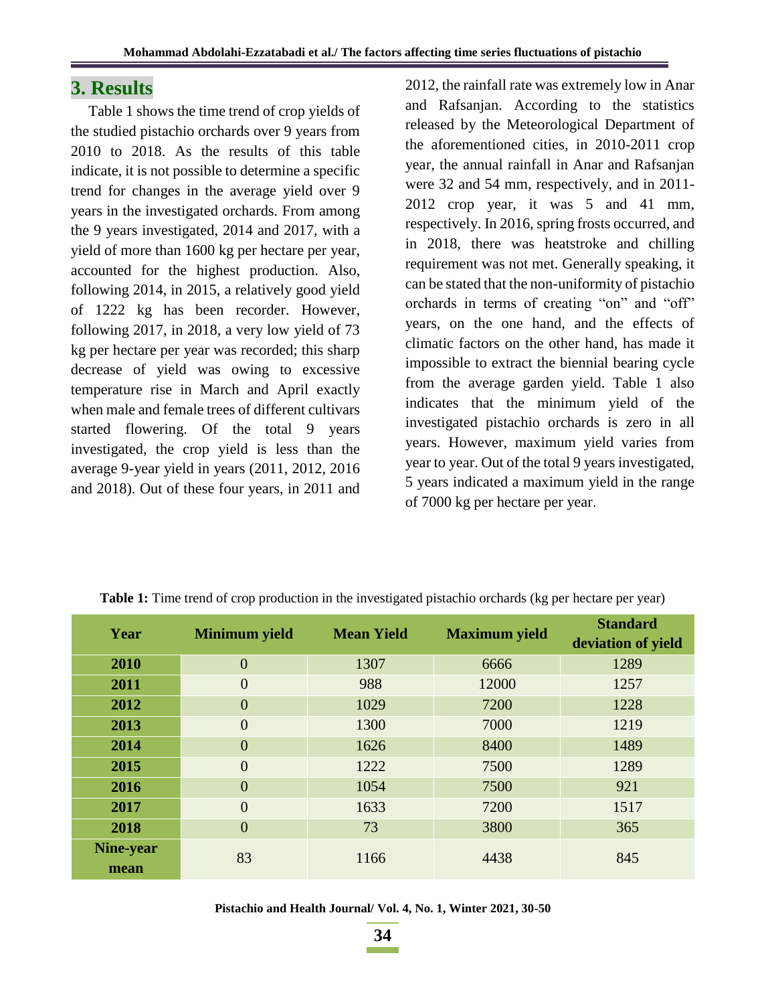### **3. Results**

Table 1 shows the time trend of crop yields of the studied pistachio orchards over 9 years from 2010 to 2018. As the results of this table indicate, it is not possible to determine a specific trend for changes in the average yield over 9 years in the investigated orchards. From among the 9 years investigated, 2014 and 2017, with a yield of more than 1600 kg per hectare per year, accounted for the highest production. Also, following 2014, in 2015, a relatively good yield of 1222 kg has been recorder. However, following 2017, in 2018, a very low yield of 73 kg per hectare per year was recorded; this sharp decrease of yield was owing to excessive temperature rise in March and April exactly when male and female trees of different cultivars started flowering. Of the total 9 years investigated, the crop yield is less than the average 9-year yield in years (2011, 2012, 2016 and 2018). Out of these four years, in 2011 and

2012, the rainfall rate was extremely low in Anar and Rafsanjan. According to the statistics released by the Meteorological Department of the aforementioned cities, in 2010-2011 crop year, the annual rainfall in Anar and Rafsanjan were 32 and 54 mm, respectively, and in 2011- 2012 crop year, it was 5 and 41 mm, respectively. In 2016, spring frosts occurred, and in 2018, there was heatstroke and chilling requirement was not met. Generally speaking, it can be stated that the non-uniformity of pistachio orchards in terms of creating "on" and "off" years, on the one hand, and the effects of climatic factors on the other hand, has made it impossible to extract the biennial bearing cycle from the average garden yield. Table 1 also indicates that the minimum yield of the investigated pistachio orchards is zero in all years. However, maximum yield varies from year to year. Out of the total 9 years investigated, 5 years indicated a maximum yield in the range of 7000 kg per hectare per year.

| Year      | <b>Minimum</b> yield | <b>Mean Yield</b> | <b>Maximum</b> yield | <b>Standard</b>    |
|-----------|----------------------|-------------------|----------------------|--------------------|
|           |                      |                   |                      | deviation of yield |
| 2010      | $\overline{0}$       | 1307              | 6666                 | 1289               |
| 2011      | $\overline{0}$       | 988               | 12000                | 1257               |
| 2012      | $\overline{0}$       | 1029              | 7200                 | 1228               |
| 2013      | $\overline{0}$       | 1300              | 7000                 | 1219               |
| 2014      | $\overline{0}$       | 1626              | 8400                 | 1489               |
| 2015      | $\overline{0}$       | 1222              | 7500                 | 1289               |
| 2016      | $\overline{0}$       | 1054              | 7500                 | 921                |
| 2017      | $\overline{0}$       | 1633              | 7200                 | 1517               |
| 2018      | $\overline{0}$       | 73                | 3800                 | 365                |
| Nine-year | 83                   | 1166              | 4438                 | 845                |
| mean      |                      |                   |                      |                    |

**Table 1:** Time trend of crop production in the investigated pistachio orchards (kg per hectare per year)

**Pistachio and Health Journal/ Vol. 4, No. 1, Winter 2021, 30-50**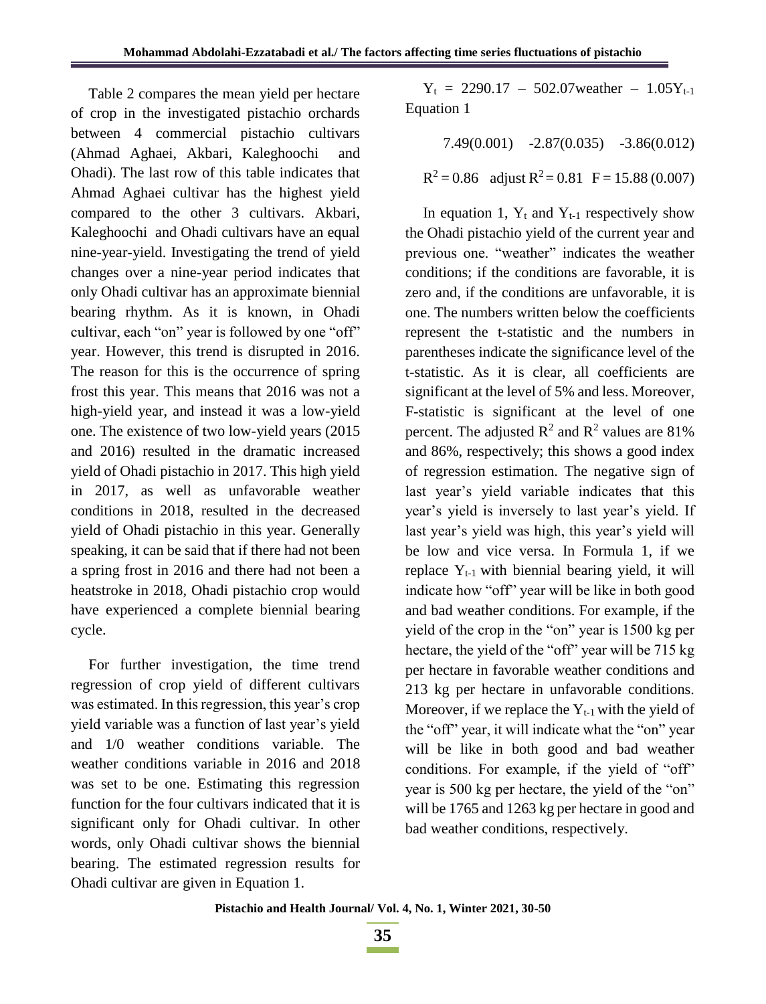Table 2 compares the mean yield per hectare of crop in the investigated pistachio orchards between 4 commercial pistachio cultivars (Ahmad Aghaei, Akbari, Kaleghoochi and Ohadi). The last row of this table indicates that Ahmad Aghaei cultivar has the highest yield compared to the other 3 cultivars. Akbari, Kaleghoochi and Ohadi cultivars have an equal nine-year-yield. Investigating the trend of yield changes over a nine-year period indicates that only Ohadi cultivar has an approximate biennial bearing rhythm. As it is known, in Ohadi cultivar, each "on" year is followed by one "off" year. However, this trend is disrupted in 2016. The reason for this is the occurrence of spring frost this year. This means that 2016 was not a high-yield year, and instead it was a low-yield one. The existence of two low-yield years (2015 and 2016) resulted in the dramatic increased yield of Ohadi pistachio in 2017. This high yield in 2017, as well as unfavorable weather conditions in 2018, resulted in the decreased yield of Ohadi pistachio in this year. Generally speaking, it can be said that if there had not been a spring frost in 2016 and there had not been a heatstroke in 2018, Ohadi pistachio crop would have experienced a complete biennial bearing cycle.

For further investigation, the time trend regression of crop yield of different cultivars was estimated. In this regression, this year's crop yield variable was a function of last year's yield and 1/0 weather conditions variable. The weather conditions variable in 2016 and 2018 was set to be one. Estimating this regression function for the four cultivars indicated that it is significant only for Ohadi cultivar. In other words, only Ohadi cultivar shows the biennial bearing. The estimated regression results for Ohadi cultivar are given in Equation 1.

 $Y_t$  = 2290.17 – 502.07 weather – 1.05 $Y_{t-1}$ Equation 1

7.49(0.001) -2.87(0.035) -3.86(0.012)

 $R^2 = 0.86$  adjust  $R^2 = 0.81$  F = 15.88 (0.007)

In equation 1,  $Y_t$  and  $Y_{t-1}$  respectively show the Ohadi pistachio yield of the current year and previous one. "weather" indicates the weather conditions; if the conditions are favorable, it is zero and, if the conditions are unfavorable, it is one. The numbers written below the coefficients represent the t-statistic and the numbers in parentheses indicate the significance level of the t-statistic. As it is clear, all coefficients are significant at the level of 5% and less. Moreover, F-statistic is significant at the level of one percent. The adjusted  $R^2$  and  $R^2$  values are 81% and 86%, respectively; this shows a good index of regression estimation. The negative sign of last year's yield variable indicates that this year's yield is inversely to last year's yield. If last year's yield was high, this year's yield will be low and vice versa. In Formula 1, if we replace  $Y_{t-1}$  with biennial bearing yield, it will indicate how "off" year will be like in both good and bad weather conditions. For example, if the yield of the crop in the "on" year is 1500 kg per hectare, the yield of the "off" year will be 715 kg per hectare in favorable weather conditions and 213 kg per hectare in unfavorable conditions. Moreover, if we replace the  $Y_{t-1}$  with the yield of the "off" year, it will indicate what the "on" year will be like in both good and bad weather conditions. For example, if the yield of "off" year is 500 kg per hectare, the yield of the "on" will be 1765 and 1263 kg per hectare in good and bad weather conditions, respectively.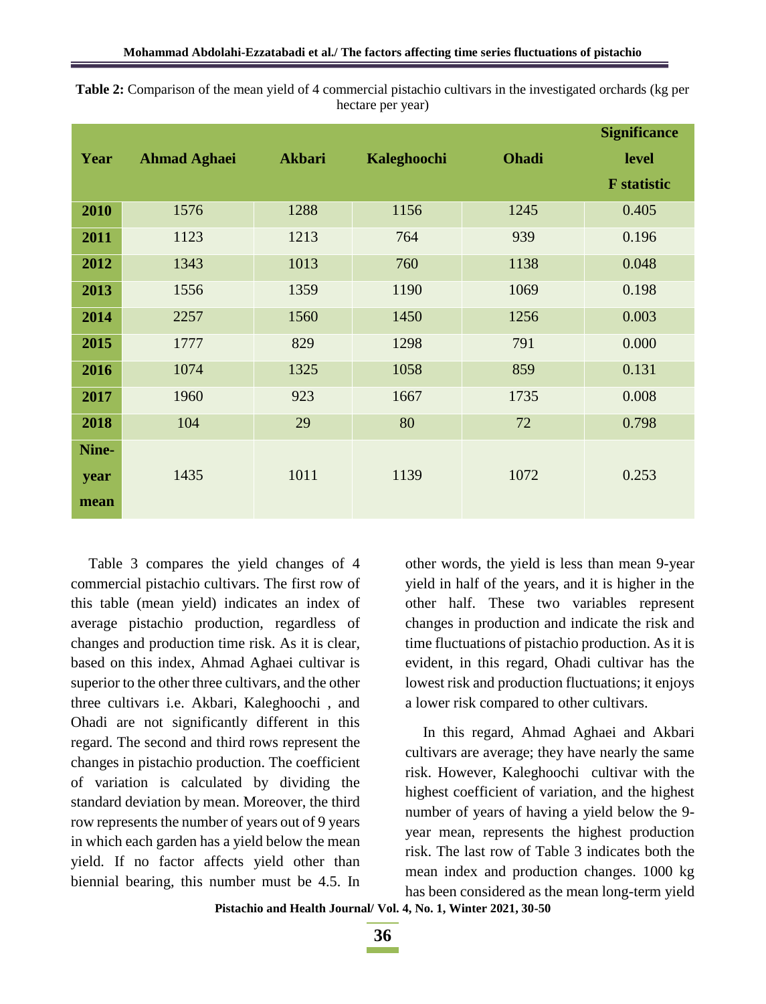|       |                     |               |             |              | <b>Significance</b> |
|-------|---------------------|---------------|-------------|--------------|---------------------|
| Year  | <b>Ahmad Aghaei</b> | <b>Akbari</b> | Kaleghoochi | <b>Ohadi</b> | level               |
|       |                     |               |             |              | <b>F</b> statistic  |
| 2010  | 1576                | 1288          | 1156        | 1245         | 0.405               |
| 2011  | 1123                | 1213          | 764         | 939          | 0.196               |
| 2012  | 1343                | 1013          | 760         | 1138         | 0.048               |
| 2013  | 1556                | 1359          | 1190        | 1069         | 0.198               |
| 2014  | 2257                | 1560          | 1450        | 1256         | 0.003               |
| 2015  | 1777                | 829           | 1298        | 791          | 0.000               |
| 2016  | 1074                | 1325          | 1058        | 859          | 0.131               |
| 2017  | 1960                | 923           | 1667        | 1735         | 0.008               |
| 2018  | 104                 | 29            | 80          | 72           | 0.798               |
| Nine- |                     |               |             |              |                     |
| year  | 1435                | 1011          | 1139        | 1072         | 0.253               |
| mean  |                     |               |             |              |                     |

**Table 2:** Comparison of the mean yield of 4 commercial pistachio cultivars in the investigated orchards (kg per hectare per year)

Table 3 compares the yield changes of 4 commercial pistachio cultivars. The first row of this table (mean yield) indicates an index of average pistachio production, regardless of changes and production time risk. As it is clear, based on this index, Ahmad Aghaei cultivar is superior to the other three cultivars, and the other three cultivars i.e. Akbari, Kaleghoochi , and Ohadi are not significantly different in this regard. The second and third rows represent the changes in pistachio production. The coefficient of variation is calculated by dividing the standard deviation by mean. Moreover, the third row represents the number of years out of 9 years in which each garden has a yield below the mean yield. If no factor affects yield other than biennial bearing, this number must be 4.5. In other words, the yield is less than mean 9-year yield in half of the years, and it is higher in the other half. These two variables represent changes in production and indicate the risk and time fluctuations of pistachio production. As it is evident, in this regard, Ohadi cultivar has the lowest risk and production fluctuations; it enjoys a lower risk compared to other cultivars.

In this regard, Ahmad Aghaei and Akbari cultivars are average; they have nearly the same risk. However, Kaleghoochi cultivar with the highest coefficient of variation, and the highest number of years of having a yield below the 9 year mean, represents the highest production risk. The last row of Table 3 indicates both the mean index and production changes. 1000 kg has been considered as the mean long-term yield

**Pistachio and Health Journal/ Vol. 4, No. 1, Winter 2021, 30-50**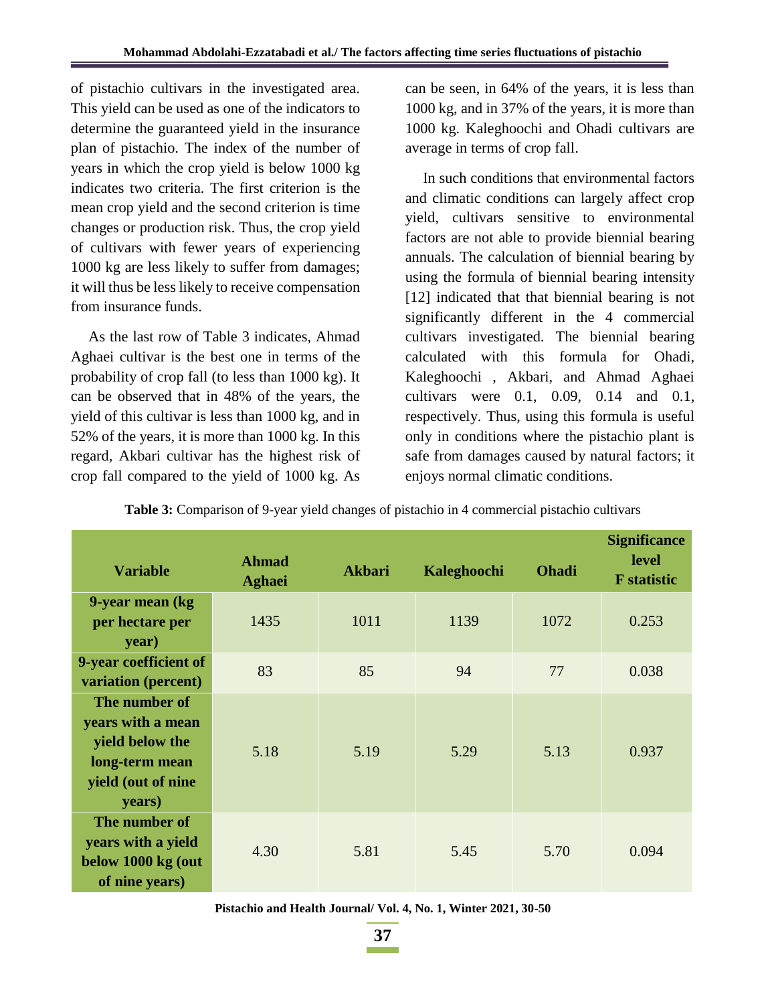of pistachio cultivars in the investigated area. This yield can be used as one of the indicators to determine the guaranteed yield in the insurance plan of pistachio. The index of the number of years in which the crop yield is below 1000 kg indicates two criteria. The first criterion is the mean crop yield and the second criterion is time changes or production risk. Thus, the crop yield of cultivars with fewer years of experiencing 1000 kg are less likely to suffer from damages; it will thus be less likely to receive compensation from insurance funds.

As the last row of Table 3 indicates, Ahmad Aghaei cultivar is the best one in terms of the probability of crop fall (to less than 1000 kg). It can be observed that in 48% of the years, the yield of this cultivar is less than 1000 kg, and in 52% of the years, it is more than 1000 kg. In this regard, Akbari cultivar has the highest risk of crop fall compared to the yield of 1000 kg. As

can be seen, in 64% of the years, it is less than 1000 kg, and in 37% of the years, it is more than 1000 kg. Kaleghoochi and Ohadi cultivars are average in terms of crop fall.

In such conditions that environmental factors and climatic conditions can largely affect crop yield, cultivars sensitive to environmental factors are not able to provide biennial bearing annuals. The calculation of biennial bearing by using the formula of biennial bearing intensity [12] indicated that that biennial bearing is not significantly different in the 4 commercial cultivars investigated. The biennial bearing calculated with this formula for Ohadi, Kaleghoochi , Akbari, and Ahmad Aghaei cultivars were 0.1, 0.09, 0.14 and 0.1, respectively. Thus, using this formula is useful only in conditions where the pistachio plant is safe from damages caused by natural factors; it enjoys normal climatic conditions.

| <b>Variable</b>                                                                                         | <b>Ahmad</b><br><b>Aghaei</b> | <b>Akbari</b> | Kaleghoochi | <b>Ohadi</b> | <b>Significance</b><br><b>level</b><br><b>F</b> statistic |
|---------------------------------------------------------------------------------------------------------|-------------------------------|---------------|-------------|--------------|-----------------------------------------------------------|
| 9-year mean (kg)<br>per hectare per<br>year)                                                            | 1435                          | 1011          | 1139        | 1072         | 0.253                                                     |
| 9-year coefficient of<br>variation (percent)                                                            | 83                            | 85            | 94          | 77           | 0.038                                                     |
| The number of<br>years with a mean<br>yield below the<br>long-term mean<br>yield (out of nine<br>years) | 5.18                          | 5.19          | 5.29        | 5.13         | 0.937                                                     |
| The number of<br>years with a yield<br>below 1000 kg (out<br>of nine years)                             | 4.30                          | 5.81          | 5.45        | 5.70         | 0.094                                                     |

**Pistachio and Health Journal/ Vol. 4, No. 1, Winter 2021, 30-50**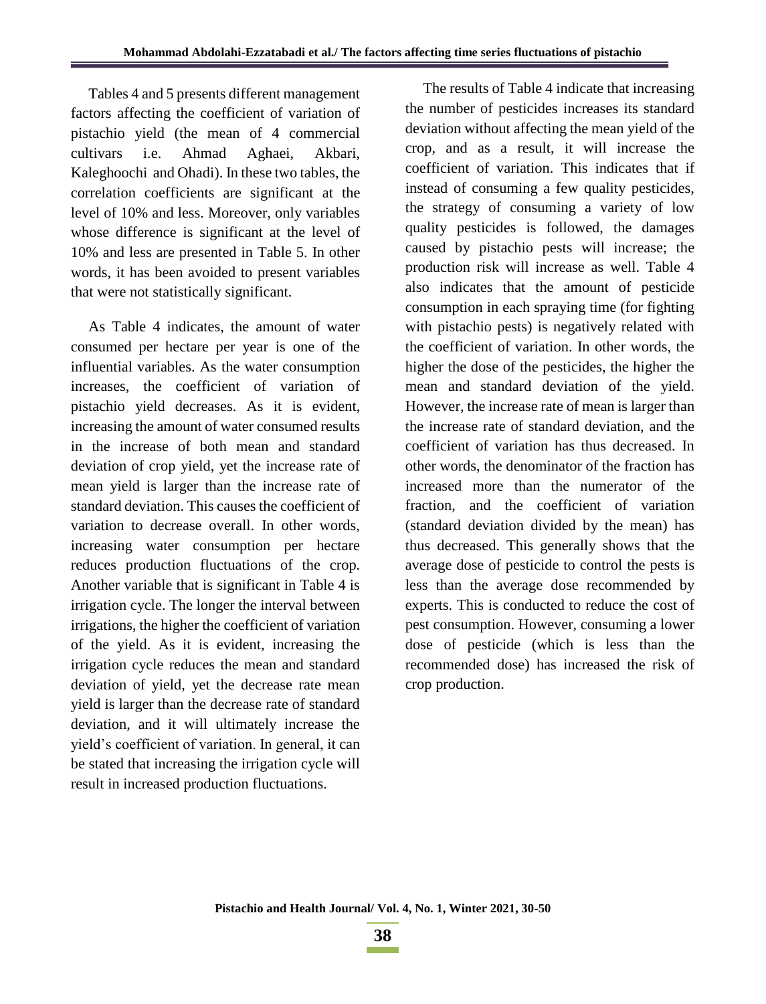Tables 4 and 5 presents different management factors affecting the coefficient of variation of pistachio yield (the mean of 4 commercial cultivars i.e. Ahmad Aghaei, Akbari, Kaleghoochi and Ohadi). In these two tables, the correlation coefficients are significant at the level of 10% and less. Moreover, only variables whose difference is significant at the level of 10% and less are presented in Table 5. In other words, it has been avoided to present variables that were not statistically significant.

As Table 4 indicates, the amount of water consumed per hectare per year is one of the influential variables. As the water consumption increases, the coefficient of variation of pistachio yield decreases. As it is evident, increasing the amount of water consumed results in the increase of both mean and standard deviation of crop yield, yet the increase rate of mean yield is larger than the increase rate of standard deviation. This causes the coefficient of variation to decrease overall. In other words, increasing water consumption per hectare reduces production fluctuations of the crop. Another variable that is significant in Table 4 is irrigation cycle. The longer the interval between irrigations, the higher the coefficient of variation of the yield. As it is evident, increasing the irrigation cycle reduces the mean and standard deviation of yield, yet the decrease rate mean yield is larger than the decrease rate of standard deviation, and it will ultimately increase the yield's coefficient of variation. In general, it can be stated that increasing the irrigation cycle will result in increased production fluctuations.

The results of Table 4 indicate that increasing the number of pesticides increases its standard deviation without affecting the mean yield of the crop, and as a result, it will increase the coefficient of variation. This indicates that if instead of consuming a few quality pesticides, the strategy of consuming a variety of low quality pesticides is followed, the damages caused by pistachio pests will increase; the production risk will increase as well. Table 4 also indicates that the amount of pesticide consumption in each spraying time (for fighting with pistachio pests) is negatively related with the coefficient of variation. In other words, the higher the dose of the pesticides, the higher the mean and standard deviation of the yield. However, the increase rate of mean is larger than the increase rate of standard deviation, and the coefficient of variation has thus decreased. In other words, the denominator of the fraction has increased more than the numerator of the fraction, and the coefficient of variation (standard deviation divided by the mean) has thus decreased. This generally shows that the average dose of pesticide to control the pests is less than the average dose recommended by experts. This is conducted to reduce the cost of pest consumption. However, consuming a lower dose of pesticide (which is less than the recommended dose) has increased the risk of crop production.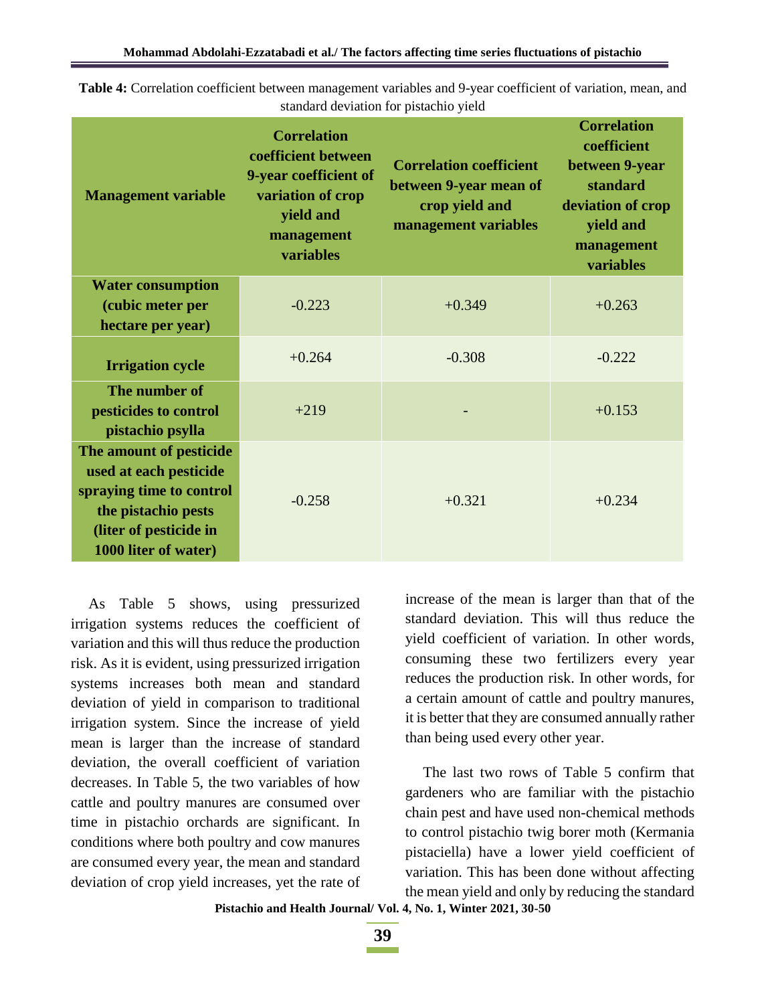| <b>Management variable</b>                                                                                                                             | <b>Correlation</b><br>coefficient between<br>9-year coefficient of<br>variation of crop<br>yield and<br>management<br>variables | <b>Correlation coefficient</b><br>between 9-year mean of<br>crop yield and<br>management variables | <b>Correlation</b><br>coefficient<br>between 9-year<br>standard<br>deviation of crop<br>yield and<br>management<br>variables |  |
|--------------------------------------------------------------------------------------------------------------------------------------------------------|---------------------------------------------------------------------------------------------------------------------------------|----------------------------------------------------------------------------------------------------|------------------------------------------------------------------------------------------------------------------------------|--|
| <b>Water consumption</b><br>(cubic meter per                                                                                                           | $-0.223$                                                                                                                        | $+0.349$                                                                                           | $+0.263$                                                                                                                     |  |
| hectare per year)<br><b>Irrigation cycle</b>                                                                                                           | $+0.264$                                                                                                                        | $-0.308$                                                                                           | $-0.222$                                                                                                                     |  |
| The number of<br>pesticides to control<br>pistachio psylla                                                                                             | $+219$                                                                                                                          |                                                                                                    | $+0.153$                                                                                                                     |  |
| The amount of pesticide<br>used at each pesticide<br>spraying time to control<br>the pistachio pests<br>(liter of pesticide in<br>1000 liter of water) | $-0.258$                                                                                                                        | $+0.321$                                                                                           | $+0.234$                                                                                                                     |  |

**Table 4:** Correlation coefficient between management variables and 9-year coefficient of variation, mean, and standard deviation for pistachio yield

As Table 5 shows, using pressurized irrigation systems reduces the coefficient of variation and this will thus reduce the production risk. As it is evident, using pressurized irrigation systems increases both mean and standard deviation of yield in comparison to traditional irrigation system. Since the increase of yield mean is larger than the increase of standard deviation, the overall coefficient of variation decreases. In Table 5, the two variables of how cattle and poultry manures are consumed over time in pistachio orchards are significant. In conditions where both poultry and cow manures are consumed every year, the mean and standard deviation of crop yield increases, yet the rate of

increase of the mean is larger than that of the standard deviation. This will thus reduce the yield coefficient of variation. In other words, consuming these two fertilizers every year reduces the production risk. In other words, for a certain amount of cattle and poultry manures, it is better that they are consumed annually rather than being used every other year.

The last two rows of Table 5 confirm that gardeners who are familiar with the pistachio chain pest and have used non-chemical methods to control pistachio twig borer moth (Kermania pistaciella) have a lower yield coefficient of variation. This has been done without affecting the mean yield and only by reducing the standard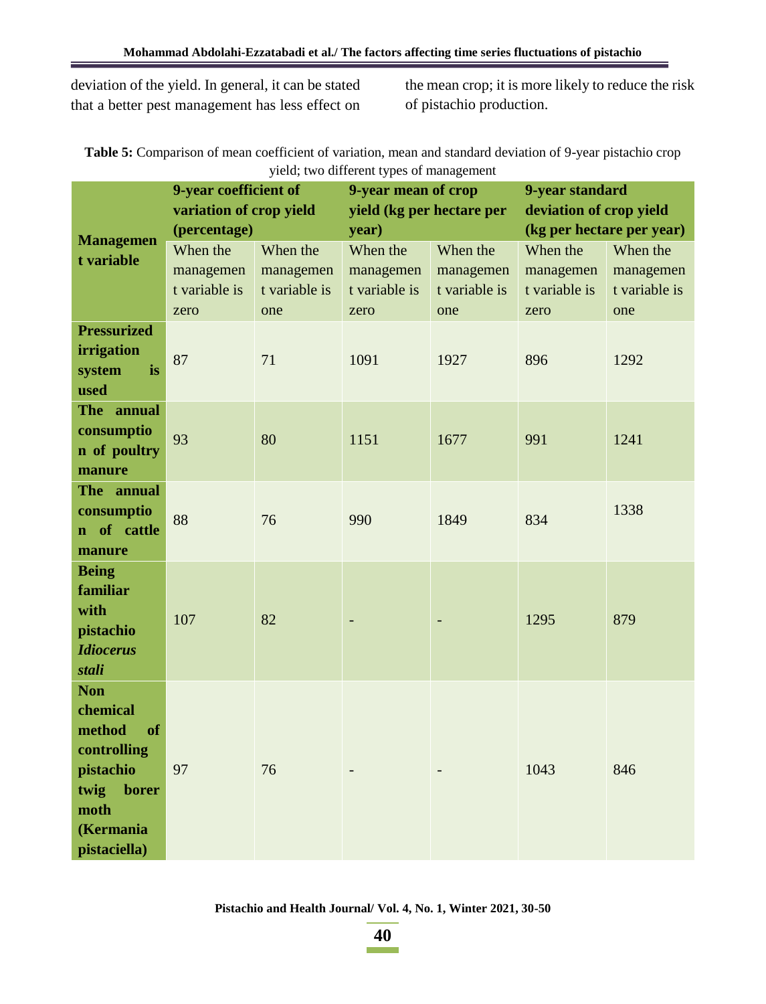deviation of the yield. In general, it can be stated that a better pest management has less effect on the mean crop; it is more likely to reduce the risk of pistachio production.

**Table 5:** Comparison of mean coefficient of variation, mean and standard deviation of 9-year pistachio crop yield; two different types of management

|                           | 9-year coefficient of   |               | 9-year mean of crop       |               | 9-year standard           |               |
|---------------------------|-------------------------|---------------|---------------------------|---------------|---------------------------|---------------|
| <b>Managemen</b>          | variation of crop yield |               | yield (kg per hectare per |               | deviation of crop yield   |               |
|                           | (percentage)            |               | year)                     |               | (kg per hectare per year) |               |
| t variable                | When the                | When the      | When the                  | When the      | When the                  | When the      |
|                           | managemen               | managemen     | managemen                 | managemen     | managemen                 | managemen     |
|                           | t variable is           | t variable is | t variable is             | t variable is | t variable is             | t variable is |
| <b>Pressurized</b>        | zero                    | one           | zero                      | one           | zero                      | one           |
| irrigation                |                         |               |                           |               |                           |               |
| system<br>is              | 87                      | 71            | 1091                      | 1927          | 896                       | 1292          |
| used                      |                         |               |                           |               |                           |               |
| The annual                |                         |               |                           |               |                           |               |
| consumptio                |                         |               |                           |               |                           |               |
| n of poultry              | 93                      | 80            | 1151                      | 1677          | 991                       | 1241          |
| manure                    |                         |               |                           |               |                           |               |
| The annual                |                         |               |                           |               |                           |               |
| consumptio                | 88                      | 76            | 990                       | 1849          | 834                       | 1338          |
| of cattle<br>$\mathbf{n}$ |                         |               |                           |               |                           |               |
| manure                    |                         |               |                           |               |                           |               |
| <b>Being</b><br>familiar  |                         |               |                           |               |                           |               |
| with                      |                         |               |                           |               |                           |               |
| pistachio                 | 107                     | 82            |                           |               | 1295                      | 879           |
| <b>Idiocerus</b>          |                         |               |                           |               |                           |               |
| stali                     |                         |               |                           |               |                           |               |
| <b>Non</b>                |                         |               |                           |               |                           |               |
| chemical                  |                         |               |                           |               |                           |               |
| method<br><sub>of</sub>   |                         |               |                           |               |                           |               |
| controlling               |                         |               |                           |               |                           |               |
| pistachio                 | 97                      | 76            |                           |               | 1043                      | 846           |
| twig<br>borer             |                         |               |                           |               |                           |               |
| moth                      |                         |               |                           |               |                           |               |
| (Kermania                 |                         |               |                           |               |                           |               |
| pistaciella)              |                         |               |                           |               |                           |               |

**Pistachio and Health Journal/ Vol. 4, No. 1, Winter 2021, 30-50**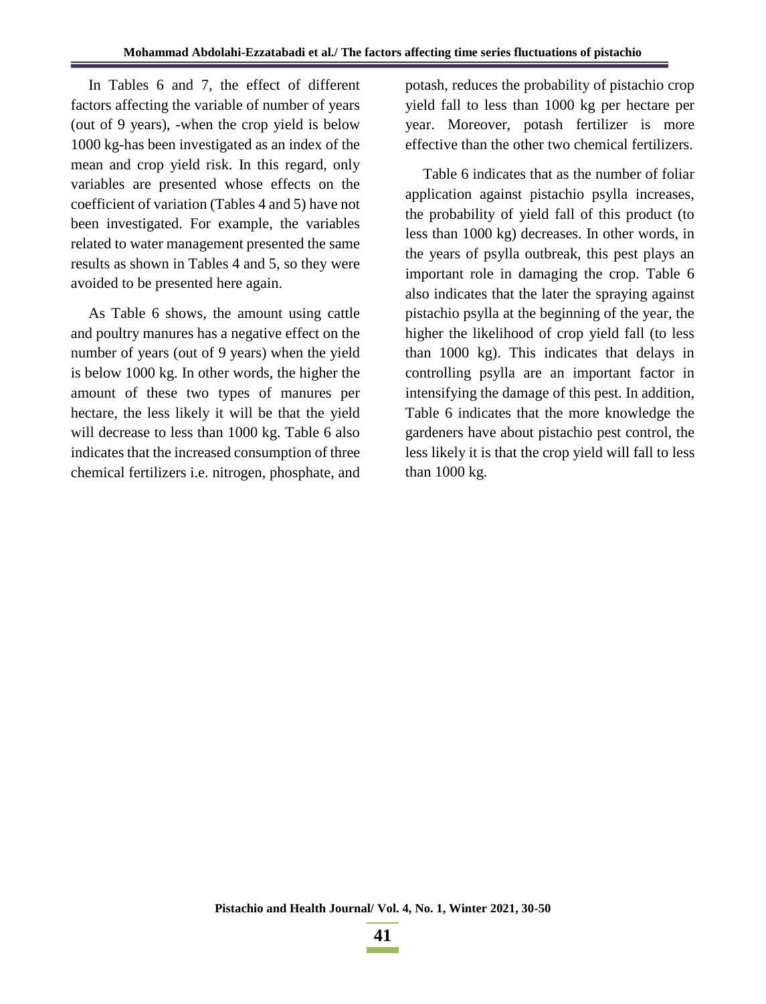In Tables 6 and 7, the effect of different factors affecting the variable of number of years (out of 9 years), -when the crop yield is below 1000 kg-has been investigated as an index of the mean and crop yield risk. In this regard, only variables are presented whose effects on the coefficient of variation (Tables 4 and 5) have not been investigated. For example, the variables related to water management presented the same results as shown in Tables 4 and 5, so they were avoided to be presented here again.

As Table 6 shows, the amount using cattle and poultry manures has a negative effect on the number of years (out of 9 years) when the yield is below 1000 kg. In other words, the higher the amount of these two types of manures per hectare, the less likely it will be that the yield will decrease to less than 1000 kg. Table 6 also indicates that the increased consumption of three chemical fertilizers i.e. nitrogen, phosphate, and

potash, reduces the probability of pistachio crop yield fall to less than 1000 kg per hectare per year. Moreover, potash fertilizer is more effective than the other two chemical fertilizers.

Table 6 indicates that as the number of foliar application against pistachio psylla increases, the probability of yield fall of this product (to less than 1000 kg) decreases. In other words, in the years of psylla outbreak, this pest plays an important role in damaging the crop. Table 6 also indicates that the later the spraying against pistachio psylla at the beginning of the year, the higher the likelihood of crop yield fall (to less than 1000 kg). This indicates that delays in controlling psylla are an important factor in intensifying the damage of this pest. In addition, Table 6 indicates that the more knowledge the gardeners have about pistachio pest control, the less likely it is that the crop yield will fall to less than 1000 kg.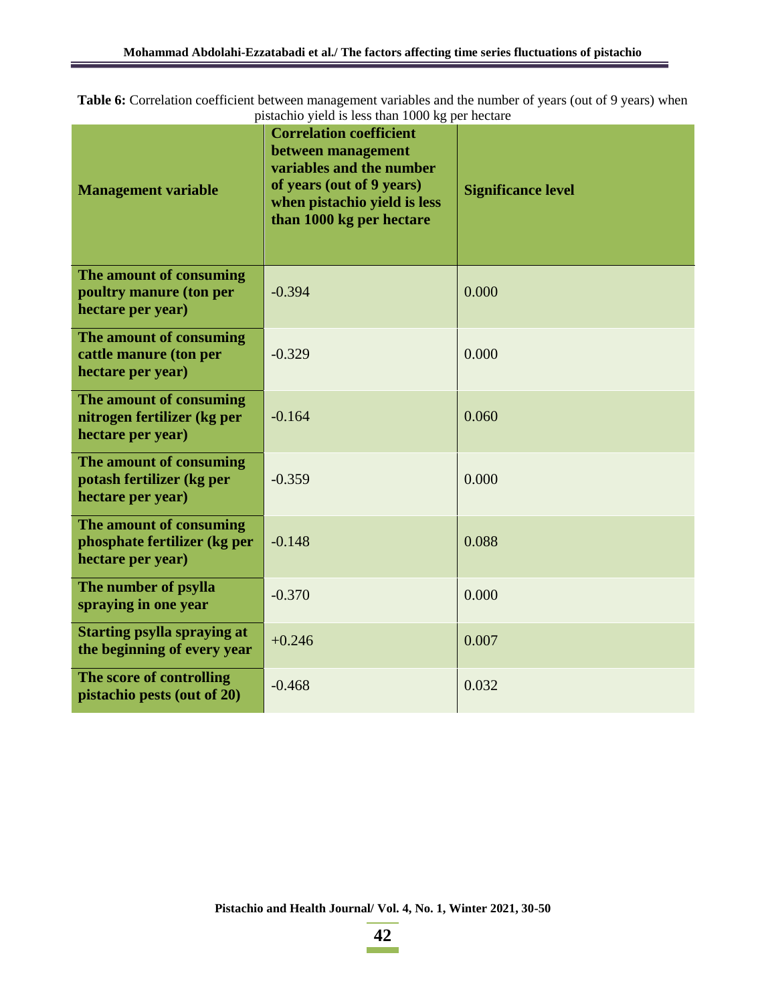**Table 6:** Correlation coefficient between management variables and the number of years (out of 9 years) when pistachio yield is less than 1000 kg per hectare

| <b>Management variable</b>                                                   | <b>Correlation coefficient</b><br>between management<br>variables and the number<br>of years (out of 9 years)<br>when pistachio yield is less<br>than 1000 kg per hectare | <b>Significance level</b> |  |
|------------------------------------------------------------------------------|---------------------------------------------------------------------------------------------------------------------------------------------------------------------------|---------------------------|--|
| The amount of consuming<br>poultry manure (ton per<br>hectare per year)      | $-0.394$                                                                                                                                                                  | 0.000                     |  |
| The amount of consuming<br>cattle manure (ton per<br>hectare per year)       | $-0.329$                                                                                                                                                                  | 0.000                     |  |
| The amount of consuming<br>nitrogen fertilizer (kg per<br>hectare per year)  | $-0.164$                                                                                                                                                                  | 0.060                     |  |
| The amount of consuming<br>potash fertilizer (kg per<br>hectare per year)    | $-0.359$                                                                                                                                                                  | 0.000                     |  |
| The amount of consuming<br>phosphate fertilizer (kg per<br>hectare per year) | $-0.148$                                                                                                                                                                  | 0.088                     |  |
| The number of psylla<br>spraying in one year                                 | $-0.370$                                                                                                                                                                  | 0.000                     |  |
| <b>Starting psylla spraying at</b><br>the beginning of every year            | $+0.246$                                                                                                                                                                  | 0.007                     |  |
| The score of controlling<br>pistachio pests (out of 20)                      | $-0.468$                                                                                                                                                                  | 0.032                     |  |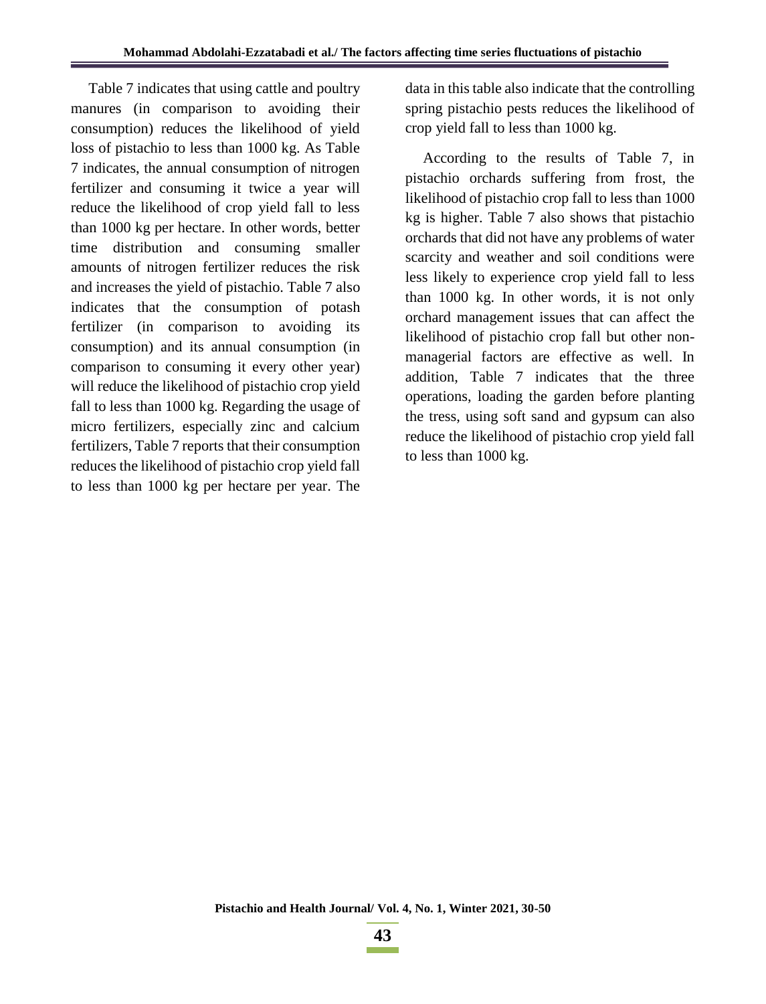Table 7 indicates that using cattle and poultry manures (in comparison to avoiding their consumption) reduces the likelihood of yield loss of pistachio to less than 1000 kg. As Table 7 indicates, the annual consumption of nitrogen fertilizer and consuming it twice a year will reduce the likelihood of crop yield fall to less than 1000 kg per hectare. In other words, better time distribution and consuming smaller amounts of nitrogen fertilizer reduces the risk and increases the yield of pistachio. Table 7 also indicates that the consumption of potash fertilizer (in comparison to avoiding its consumption) and its annual consumption (in comparison to consuming it every other year) will reduce the likelihood of pistachio crop yield fall to less than 1000 kg. Regarding the usage of micro fertilizers, especially zinc and calcium fertilizers, Table 7 reports that their consumption reduces the likelihood of pistachio crop yield fall to less than 1000 kg per hectare per year. The

data in this table also indicate that the controlling spring pistachio pests reduces the likelihood of crop yield fall to less than 1000 kg.

According to the results of Table 7, in pistachio orchards suffering from frost, the likelihood of pistachio crop fall to less than 1000 kg is higher. Table 7 also shows that pistachio orchards that did not have any problems of water scarcity and weather and soil conditions were less likely to experience crop yield fall to less than 1000 kg. In other words, it is not only orchard management issues that can affect the likelihood of pistachio crop fall but other nonmanagerial factors are effective as well. In addition, Table 7 indicates that the three operations, loading the garden before planting the tress, using soft sand and gypsum can also reduce the likelihood of pistachio crop yield fall to less than 1000 kg.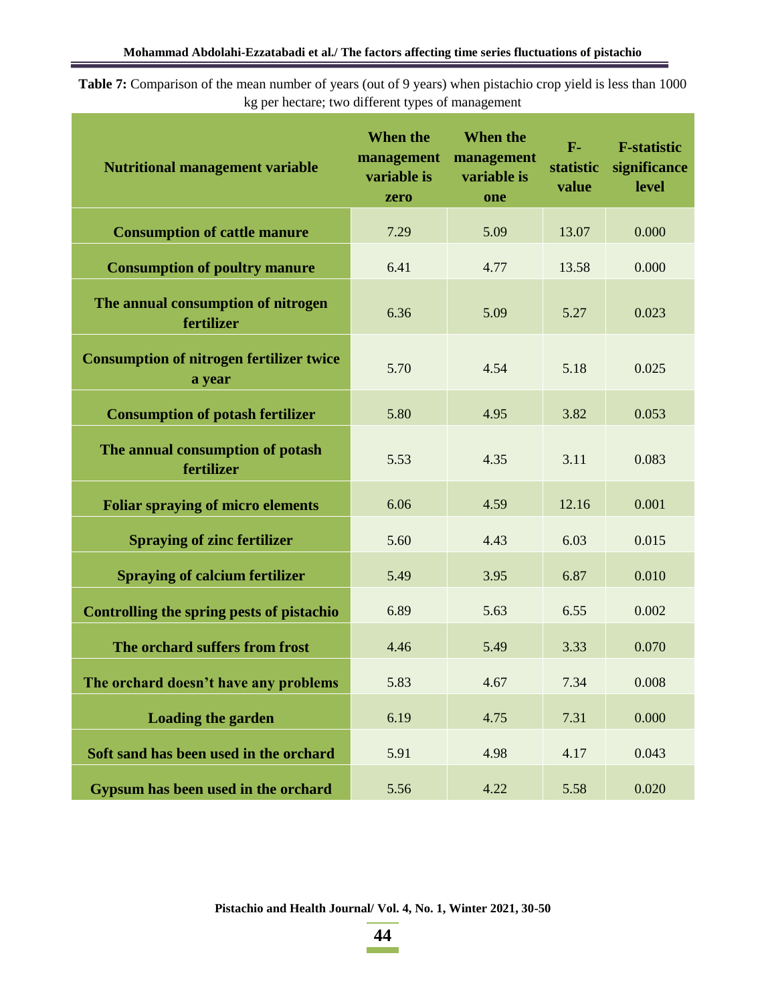**Table 7:** Comparison of the mean number of years (out of 9 years) when pistachio crop yield is less than 1000 kg per hectare; two different types of management

| <b>Nutritional management variable</b>                    | When the<br>management<br>variable is<br>zero | <b>When the</b><br>management<br>variable is<br>one | $F-$<br>statistic<br>value | <b>F-statistic</b><br>significance<br>level |
|-----------------------------------------------------------|-----------------------------------------------|-----------------------------------------------------|----------------------------|---------------------------------------------|
| <b>Consumption of cattle manure</b>                       | 7.29                                          | 5.09                                                | 13.07                      | 0.000                                       |
| <b>Consumption of poultry manure</b>                      | 6.41                                          | 4.77                                                | 13.58                      | 0.000                                       |
| The annual consumption of nitrogen<br>fertilizer          | 6.36                                          | 5.09                                                | 5.27                       | 0.023                                       |
| <b>Consumption of nitrogen fertilizer twice</b><br>a year | 5.70                                          | 4.54                                                | 5.18                       | 0.025                                       |
| <b>Consumption of potash fertilizer</b>                   | 5.80                                          | 4.95                                                | 3.82                       | 0.053                                       |
| The annual consumption of potash<br>fertilizer            | 5.53                                          | 4.35                                                | 3.11                       | 0.083                                       |
| <b>Foliar spraying of micro elements</b>                  | 6.06                                          | 4.59                                                | 12.16                      | 0.001                                       |
| <b>Spraying of zinc fertilizer</b>                        | 5.60                                          | 4.43                                                | 6.03                       | 0.015                                       |
| <b>Spraying of calcium fertilizer</b>                     | 5.49                                          | 3.95                                                | 6.87                       | 0.010                                       |
| Controlling the spring pests of pistachio                 | 6.89                                          | 5.63                                                | 6.55                       | 0.002                                       |
| The orchard suffers from frost                            | 4.46                                          | 5.49                                                | 3.33                       | 0.070                                       |
| The orchard doesn't have any problems                     | 5.83                                          | 4.67                                                | 7.34                       | 0.008                                       |
| <b>Loading the garden</b>                                 | 6.19                                          | 4.75                                                | 7.31                       | 0.000                                       |
| Soft sand has been used in the orchard                    | 5.91                                          | 4.98                                                | 4.17                       | 0.043                                       |
| Gypsum has been used in the orchard                       | 5.56                                          | 4.22                                                | 5.58                       | 0.020                                       |

**Pistachio and Health Journal/ Vol. 4, No. 1, Winter 2021, 30-50**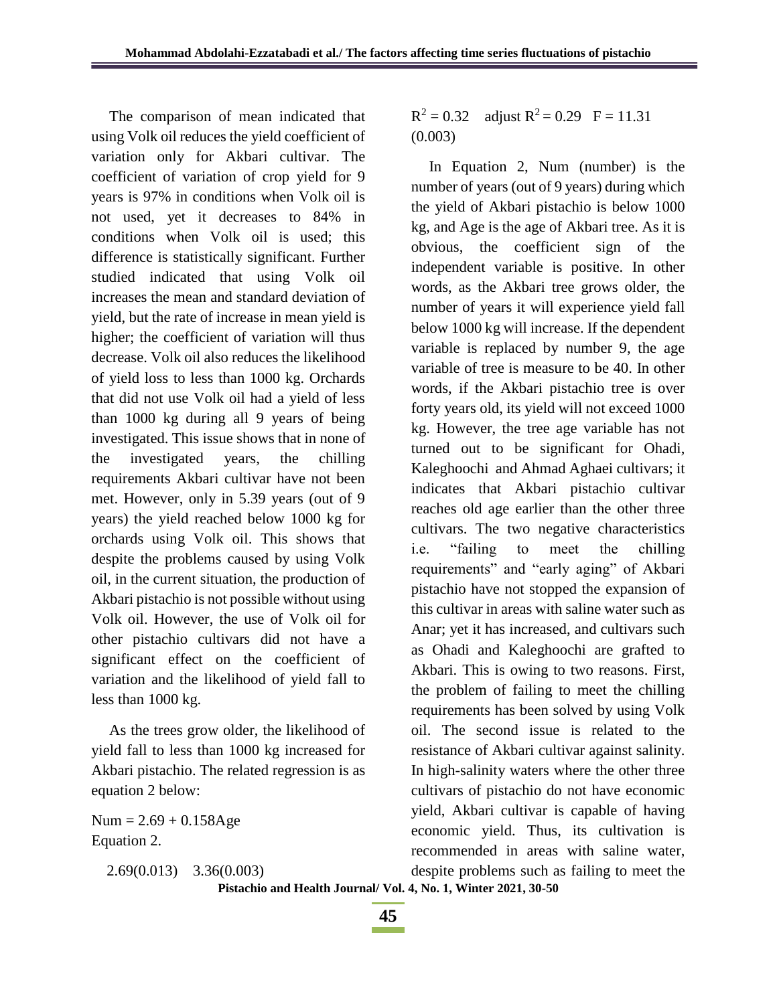The comparison of mean indicated that using Volk oil reduces the yield coefficient of variation only for Akbari cultivar. The coefficient of variation of crop yield for 9 years is 97% in conditions when Volk oil is not used, yet it decreases to 84% in conditions when Volk oil is used; this difference is statistically significant. Further studied indicated that using Volk oil increases the mean and standard deviation of yield, but the rate of increase in mean yield is higher; the coefficient of variation will thus decrease. Volk oil also reduces the likelihood of yield loss to less than 1000 kg. Orchards that did not use Volk oil had a yield of less than 1000 kg during all 9 years of being investigated. This issue shows that in none of the investigated years, the chilling requirements Akbari cultivar have not been met. However, only in 5.39 years (out of 9 years) the yield reached below 1000 kg for orchards using Volk oil. This shows that despite the problems caused by using Volk oil, in the current situation, the production of Akbari pistachio is not possible without using Volk oil. However, the use of Volk oil for other pistachio cultivars did not have a significant effect on the coefficient of variation and the likelihood of yield fall to less than 1000 kg.

As the trees grow older, the likelihood of yield fall to less than 1000 kg increased for Akbari pistachio. The related regression is as equation 2 below:

 $Num = 2.69 + 0.158Age$ Equation 2.

2.69(0.013) 3.36(0.003)

 $R^2 = 0.32$  adjust  $R^2 = 0.29$  F = 11.31 (0.003)

In Equation 2, Num (number) is the number of years (out of 9 years) during which the yield of Akbari pistachio is below 1000 kg, and Age is the age of Akbari tree. As it is obvious, the coefficient sign of the independent variable is positive. In other words, as the Akbari tree grows older, the number of years it will experience yield fall below 1000 kg will increase. If the dependent variable is replaced by number 9, the age variable of tree is measure to be 40. In other words, if the Akbari pistachio tree is over forty years old, its yield will not exceed 1000 kg. However, the tree age variable has not turned out to be significant for Ohadi, Kaleghoochi and Ahmad Aghaei cultivars; it indicates that Akbari pistachio cultivar reaches old age earlier than the other three cultivars. The two negative characteristics i.e. "failing to meet the chilling requirements" and "early aging" of Akbari pistachio have not stopped the expansion of this cultivar in areas with saline water such as Anar; yet it has increased, and cultivars such as Ohadi and Kaleghoochi are grafted to Akbari. This is owing to two reasons. First, the problem of failing to meet the chilling requirements has been solved by using Volk oil. The second issue is related to the resistance of Akbari cultivar against salinity. In high-salinity waters where the other three cultivars of pistachio do not have economic yield, Akbari cultivar is capable of having economic yield. Thus, its cultivation is recommended in areas with saline water, despite problems such as failing to meet the

**Pistachio and Health Journal/ Vol. 4, No. 1, Winter 2021, 30-50**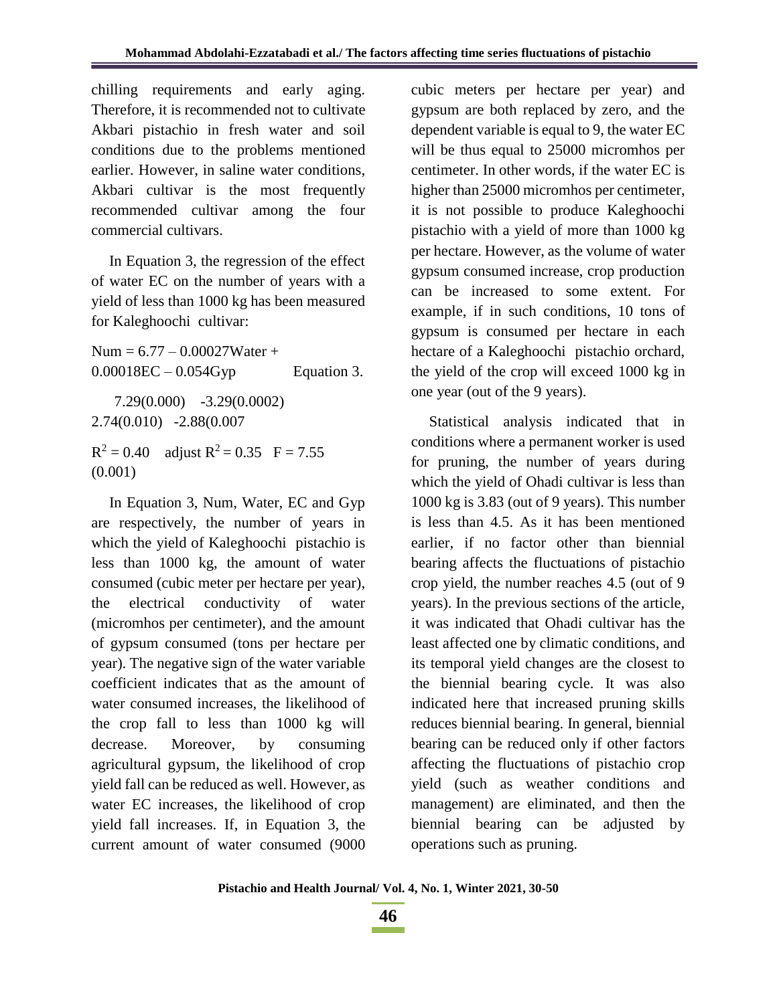chilling requirements and early aging. Therefore, it is recommended not to cultivate Akbari pistachio in fresh water and soil conditions due to the problems mentioned earlier. However, in saline water conditions, Akbari cultivar is the most frequently recommended cultivar among the four commercial cultivars.

In Equation 3, the regression of the effect of water EC on the number of years with a yield of less than 1000 kg has been measured for Kaleghoochi cultivar:

Num =  $6.77 - 0.00027$ Water +  $0.00018$ EC –  $0.054$ Gyp Equation 3. 7.29(0.000) -3.29(0.0002) 2.74(0.010) -2.88(0.007  $R^2 = 0.40$  adjust  $R^2 = 0.35$  F = 7.55 (0.001)

In Equation 3, Num, Water, EC and Gyp are respectively, the number of years in which the yield of Kaleghoochi pistachio is less than 1000 kg, the amount of water consumed (cubic meter per hectare per year), the electrical conductivity of water (micromhos per centimeter), and the amount of gypsum consumed (tons per hectare per year). The negative sign of the water variable coefficient indicates that as the amount of water consumed increases, the likelihood of the crop fall to less than 1000 kg will decrease. Moreover, by consuming agricultural gypsum, the likelihood of crop yield fall can be reduced as well. However, as water EC increases, the likelihood of crop yield fall increases. If, in Equation 3, the current amount of water consumed (9000 cubic meters per hectare per year) and gypsum are both replaced by zero, and the dependent variable is equal to 9, the water EC will be thus equal to 25000 micromhos per centimeter. In other words, if the water EC is higher than 25000 micromhos per centimeter, it is not possible to produce Kaleghoochi pistachio with a yield of more than 1000 kg per hectare. However, as the volume of water gypsum consumed increase, crop production can be increased to some extent. For example, if in such conditions, 10 tons of gypsum is consumed per hectare in each hectare of a Kaleghoochi pistachio orchard, the yield of the crop will exceed 1000 kg in one year (out of the 9 years).

Statistical analysis indicated that in conditions where a permanent worker is used for pruning, the number of years during which the yield of Ohadi cultivar is less than 1000 kg is 3.83 (out of 9 years). This number is less than 4.5. As it has been mentioned earlier, if no factor other than biennial bearing affects the fluctuations of pistachio crop yield, the number reaches 4.5 (out of 9 years). In the previous sections of the article, it was indicated that Ohadi cultivar has the least affected one by climatic conditions, and its temporal yield changes are the closest to the biennial bearing cycle. It was also indicated here that increased pruning skills reduces biennial bearing. In general, biennial bearing can be reduced only if other factors affecting the fluctuations of pistachio crop yield (such as weather conditions and management) are eliminated, and then the biennial bearing can be adjusted by operations such as pruning.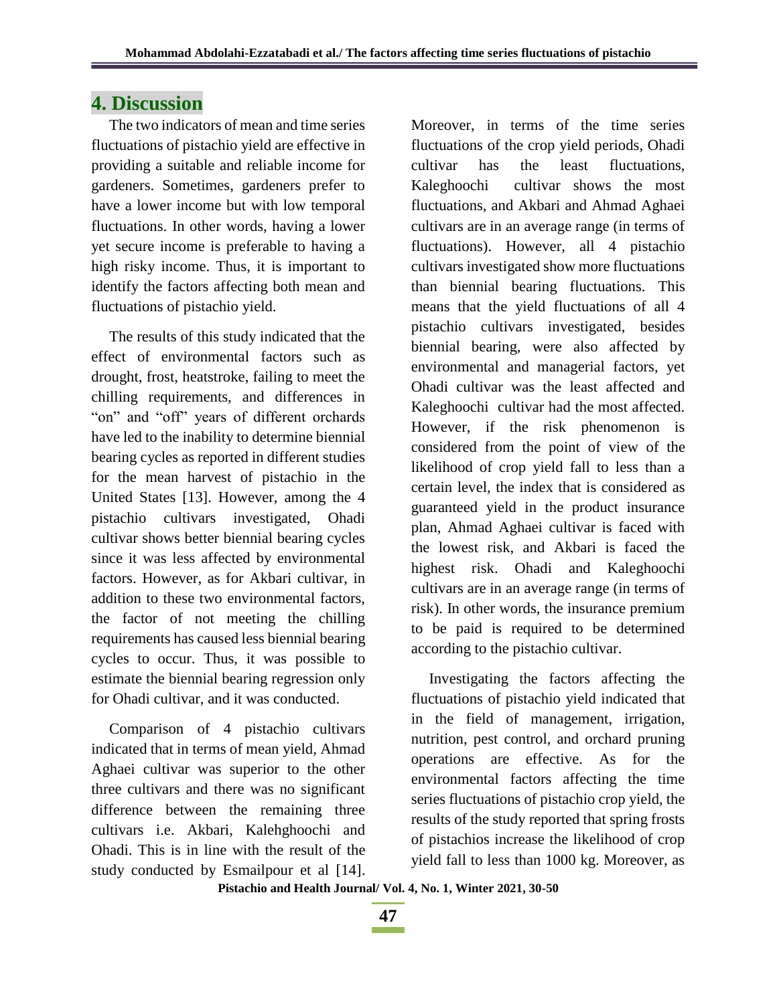## **4. Discussion**

The two indicators of mean and time series fluctuations of pistachio yield are effective in providing a suitable and reliable income for gardeners. Sometimes, gardeners prefer to have a lower income but with low temporal fluctuations. In other words, having a lower yet secure income is preferable to having a high risky income. Thus, it is important to identify the factors affecting both mean and fluctuations of pistachio yield.

The results of this study indicated that the effect of environmental factors such as drought, frost, heatstroke, failing to meet the chilling requirements, and differences in "on" and "off" years of different orchards have led to the inability to determine biennial bearing cycles as reported in different studies for the mean harvest of pistachio in the United States [13]. However, among the 4 pistachio cultivars investigated, Ohadi cultivar shows better biennial bearing cycles since it was less affected by environmental factors. However, as for Akbari cultivar, in addition to these two environmental factors, the factor of not meeting the chilling requirements has caused less biennial bearing cycles to occur. Thus, it was possible to estimate the biennial bearing regression only for Ohadi cultivar, and it was conducted.

Comparison of 4 pistachio cultivars indicated that in terms of mean yield, Ahmad Aghaei cultivar was superior to the other three cultivars and there was no significant difference between the remaining three cultivars i.e. Akbari, Kalehghoochi and Ohadi. This is in line with the result of the study conducted by Esmailpour et al [14]. Moreover, in terms of the time series fluctuations of the crop yield periods, Ohadi cultivar has the least fluctuations, Kaleghoochi cultivar shows the most fluctuations, and Akbari and Ahmad Aghaei cultivars are in an average range (in terms of fluctuations). However, all 4 pistachio cultivars investigated show more fluctuations than biennial bearing fluctuations. This means that the yield fluctuations of all 4 pistachio cultivars investigated, besides biennial bearing, were also affected by environmental and managerial factors, yet Ohadi cultivar was the least affected and Kaleghoochi cultivar had the most affected. However, if the risk phenomenon is considered from the point of view of the likelihood of crop yield fall to less than a certain level, the index that is considered as guaranteed yield in the product insurance plan, Ahmad Aghaei cultivar is faced with the lowest risk, and Akbari is faced the highest risk. Ohadi and Kaleghoochi cultivars are in an average range (in terms of risk). In other words, the insurance premium to be paid is required to be determined according to the pistachio cultivar.

Investigating the factors affecting the fluctuations of pistachio yield indicated that in the field of management, irrigation, nutrition, pest control, and orchard pruning operations are effective. As for the environmental factors affecting the time series fluctuations of pistachio crop yield, the results of the study reported that spring frosts of pistachios increase the likelihood of crop yield fall to less than 1000 kg. Moreover, as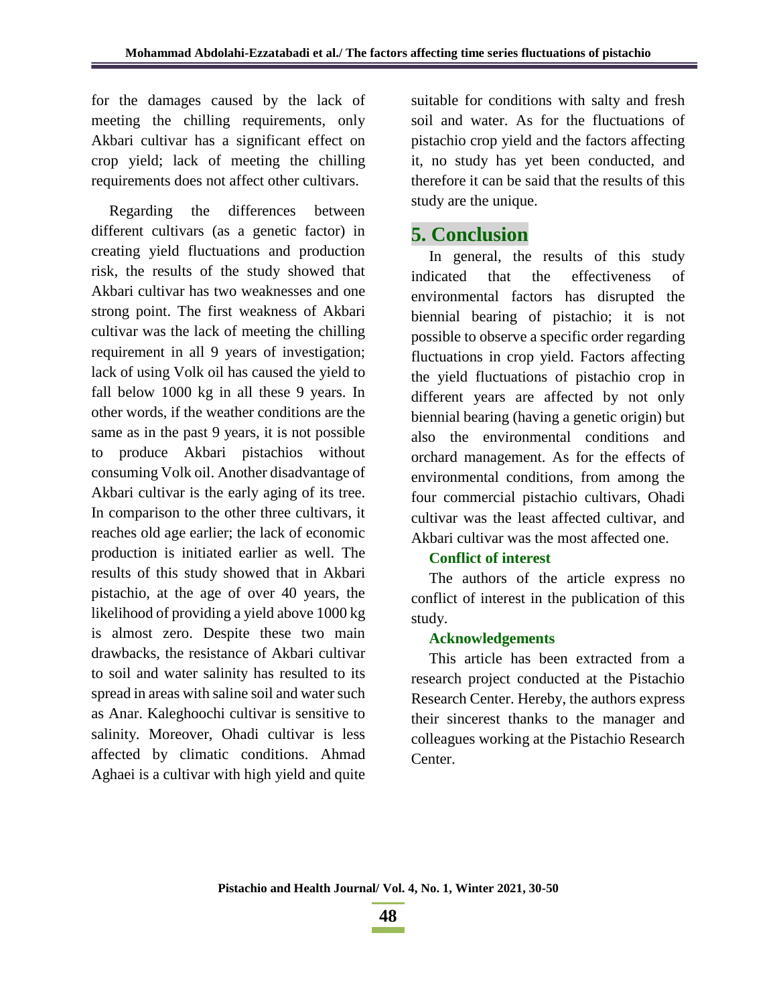for the damages caused by the lack of meeting the chilling requirements, only Akbari cultivar has a significant effect on crop yield; lack of meeting the chilling requirements does not affect other cultivars.

Regarding the differences between different cultivars (as a genetic factor) in creating yield fluctuations and production risk, the results of the study showed that Akbari cultivar has two weaknesses and one strong point. The first weakness of Akbari cultivar was the lack of meeting the chilling requirement in all 9 years of investigation; lack of using Volk oil has caused the yield to fall below 1000 kg in all these 9 years. In other words, if the weather conditions are the same as in the past 9 years, it is not possible to produce Akbari pistachios without consuming Volk oil. Another disadvantage of Akbari cultivar is the early aging of its tree. In comparison to the other three cultivars, it reaches old age earlier; the lack of economic production is initiated earlier as well. The results of this study showed that in Akbari pistachio, at the age of over 40 years, the likelihood of providing a yield above 1000 kg is almost zero. Despite these two main drawbacks, the resistance of Akbari cultivar to soil and water salinity has resulted to its spread in areas with saline soil and water such as Anar. Kaleghoochi cultivar is sensitive to salinity. Moreover, Ohadi cultivar is less affected by climatic conditions. Ahmad Aghaei is a cultivar with high yield and quite suitable for conditions with salty and fresh soil and water. As for the fluctuations of pistachio crop yield and the factors affecting it, no study has yet been conducted, and therefore it can be said that the results of this study are the unique.

## **5. Conclusion**

In general, the results of this study indicated that the effectiveness of environmental factors has disrupted the biennial bearing of pistachio; it is not possible to observe a specific order regarding fluctuations in crop yield. Factors affecting the yield fluctuations of pistachio crop in different years are affected by not only biennial bearing (having a genetic origin) but also the environmental conditions and orchard management. As for the effects of environmental conditions, from among the four commercial pistachio cultivars, Ohadi cultivar was the least affected cultivar, and Akbari cultivar was the most affected one.

#### **Conflict of interest**

The authors of the article express no conflict of interest in the publication of this study.

#### **Acknowledgements**

This article has been extracted from a research project conducted at the Pistachio Research Center. Hereby, the authors express their sincerest thanks to the manager and colleagues working at the Pistachio Research Center.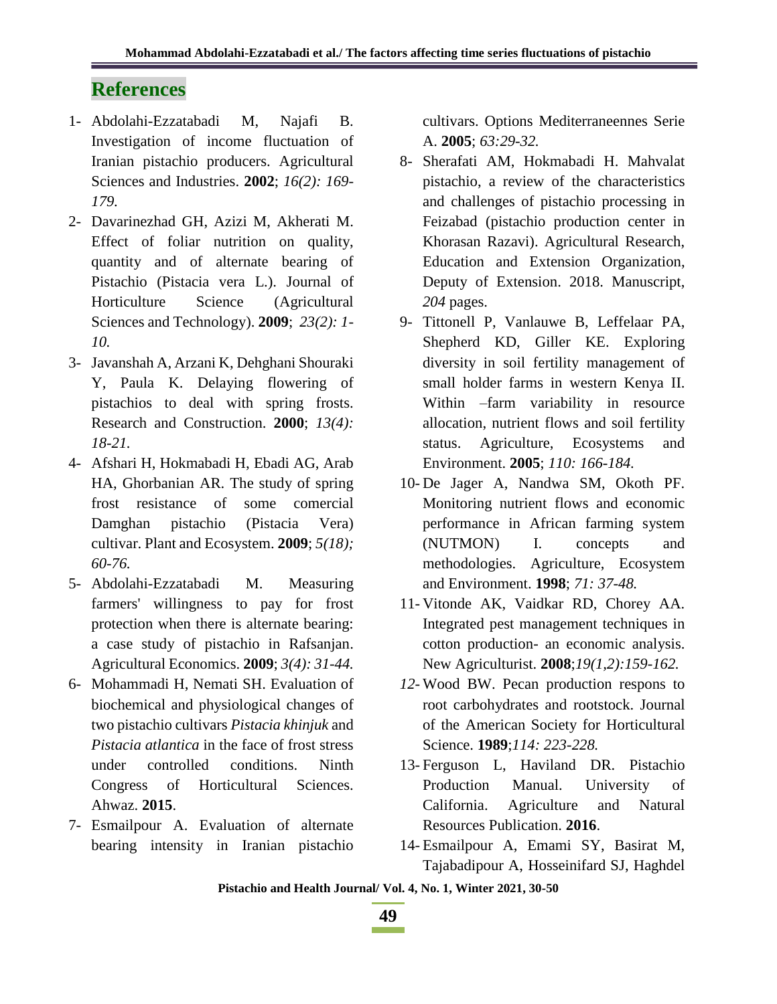# **References**

- 1- Abdolahi-Ezzatabadi M, Najafi B. Investigation of income fluctuation of Iranian pistachio producers. Agricultural Sciences and Industries. **2002**; *16(2): 169- 179.*
- 2- Davarinezhad GH, Azizi M, Akherati M. Effect of foliar nutrition on quality, quantity and of alternate bearing of Pistachio (Pistacia vera L.). Journal of Horticulture Science (Agricultural Sciences and Technology). **2009**; *23(2): 1- 10.*
- 3- Javanshah A, Arzani K, Dehghani Shouraki Y, Paula K. Delaying flowering of pistachios to deal with spring frosts. Research and Construction. **2000**; *13(4): 18-21.*
- 4- Afshari H, Hokmabadi H, Ebadi AG, Arab HA, Ghorbanian AR. The study of spring frost resistance of some comercial Damghan pistachio (Pistacia Vera) cultivar. Plant and Ecosystem. **2009**; *5(18); 60-76.*
- 5- Abdolahi-Ezzatabadi M. Measuring farmers' willingness to pay for frost protection when there is alternate bearing: a case study of pistachio in Rafsanjan. Agricultural Economics. **2009**; *3(4): 31-44.*
- 6- Mohammadi H, Nemati SH. Evaluation of biochemical and physiological changes of two pistachio cultivars *Pistacia khinjuk* and *Pistacia atlantica* in the face of frost stress under controlled conditions. Ninth Congress of Horticultural Sciences. Ahwaz. **2015**.
- 7- Esmailpour A. Evaluation of alternate bearing intensity in Iranian pistachio

cultivars. Options Mediterraneennes Serie A. **2005**; *63:29-32.*

- 8- Sherafati AM, Hokmabadi H. Mahvalat pistachio, a review of the characteristics and challenges of pistachio processing in Feizabad (pistachio production center in Khorasan Razavi). Agricultural Research, Education and Extension Organization, Deputy of Extension. 2018. Manuscript, *204* pages.
- 9- Tittonell P, Vanlauwe B, Leffelaar PA, Shepherd KD, Giller KE. Exploring diversity in soil fertility management of small holder farms in western Kenya II. Within –farm variability in resource allocation, nutrient flows and soil fertility status. Agriculture, Ecosystems and Environment. **2005**; *110: 166-184.*
- 10- De Jager A, Nandwa SM, Okoth PF. Monitoring nutrient flows and economic performance in African farming system (NUTMON) I. concepts and methodologies. Agriculture, Ecosystem and Environment. **1998**; *71: 37-48.*
- 11- Vitonde AK, Vaidkar RD, Chorey AA. Integrated pest management techniques in cotton production- an economic analysis. New Agriculturist. **2008**;*19(1,2):159-162.*
- *12-* Wood BW. Pecan production respons to root carbohydrates and rootstock. Journal of the American Society for Horticultural Science. **1989**;*114: 223-228.*
- 13- Ferguson L, Haviland DR. Pistachio Production Manual. University of California. Agriculture and Natural Resources Publication. **2016**.
- 14- Esmailpour A, Emami SY, Basirat M, Tajabadipour A, Hosseinifard SJ, Haghdel

**Pistachio and Health Journal/ Vol. 4, No. 1, Winter 2021, 30-50**